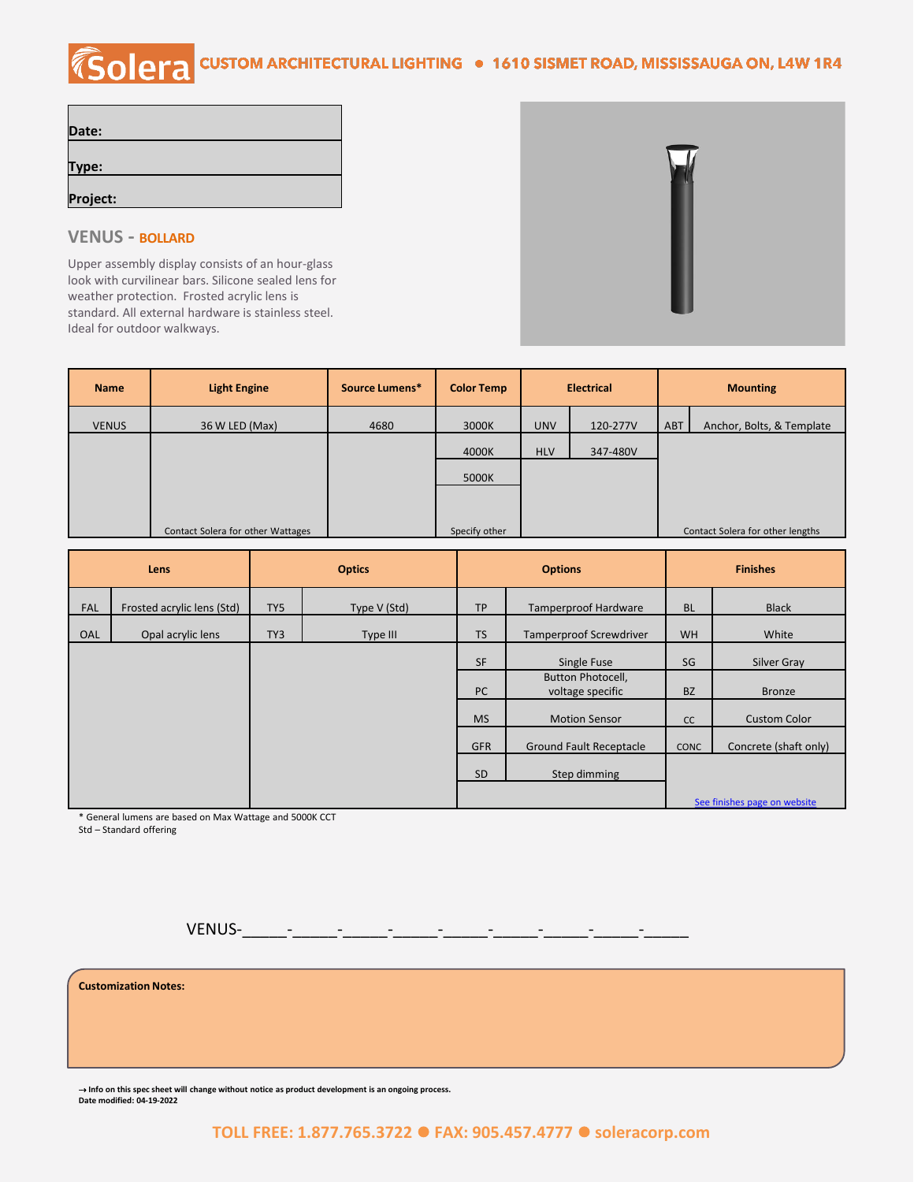## COIPTA CUSTOM ARCHITECTURAL LIGHTING . 1610 SISMET ROAD, MISSISSAUGA ON, L4W 1R4

| Date:    |  |  |
|----------|--|--|
|          |  |  |
| Type:    |  |  |
|          |  |  |
| Project: |  |  |

## **VENUS - BOLLARD**

Upper assembly display consists of an hour-glass look with curvilinear bars. Silicone sealed lens for weather protection. Frosted acrylic lens is standard. All external hardware is stainless steel. Ideal for outdoor walkways.



| <b>Name</b>  | <b>Light Engine</b>               | Source Lumens* | <b>Color Temp</b> | <b>Electrical</b> |          | <b>Mounting</b> |                                  |
|--------------|-----------------------------------|----------------|-------------------|-------------------|----------|-----------------|----------------------------------|
| <b>VENUS</b> | 36 W LED (Max)                    | 4680           | 3000K             | <b>UNV</b>        | 120-277V | ABT             | Anchor, Bolts, & Template        |
|              |                                   |                | 4000K             | <b>HLV</b>        | 347-480V |                 |                                  |
|              |                                   |                | 5000K             |                   |          |                 |                                  |
|              |                                   |                |                   |                   |          |                 |                                  |
|              | Contact Solera for other Wattages |                | Specify other     |                   |          |                 | Contact Solera for other lengths |

| Lens       |                            | <b>Optics</b> |              | <b>Options</b> |                                       | <b>Finishes</b> |                       |
|------------|----------------------------|---------------|--------------|----------------|---------------------------------------|-----------------|-----------------------|
| <b>FAL</b> | Frosted acrylic lens (Std) | TY5           | Type V (Std) | <b>TP</b>      | <b>Tamperproof Hardware</b>           | <b>BL</b>       | <b>Black</b>          |
| OAL        | Opal acrylic lens          | TY3           | Type III     | <b>TS</b>      | <b>Tamperproof Screwdriver</b>        | <b>WH</b>       | White                 |
|            |                            |               |              | SF             | Single Fuse                           | SG              | Silver Gray           |
|            |                            |               |              | <b>PC</b>      | Button Photocell,<br>voltage specific | <b>BZ</b>       | <b>Bronze</b>         |
|            |                            |               |              | <b>MS</b>      | <b>Motion Sensor</b>                  | cc              | <b>Custom Color</b>   |
|            |                            |               |              | <b>GFR</b>     | <b>Ground Fault Receptacle</b>        | <b>CONC</b>     | Concrete (shaft only) |
|            |                            |               |              | <b>SD</b>      | Step dimming                          |                 |                       |
|            |                            |               |              |                | See finishes page on website          |                 |                       |

\* General lumens are based on Max Wattage and 5000K CCT

Std – Standard offering

VENUS-\_\_\_\_\_-\_\_\_\_\_-\_\_\_\_\_-\_\_\_\_\_-\_\_\_\_\_-\_\_\_\_\_-\_\_\_\_\_-\_\_\_\_\_-\_\_\_\_\_

**Customization Notes:**

⇢ **Info on this spec sheet will change without notice as product development is an ongoing process. Date modified: 04-19-2022**

**TOLL FREE: 1.877.765.3722** ⚫ **FAX: 905.457.4777** ⚫ **soleracorp.com**